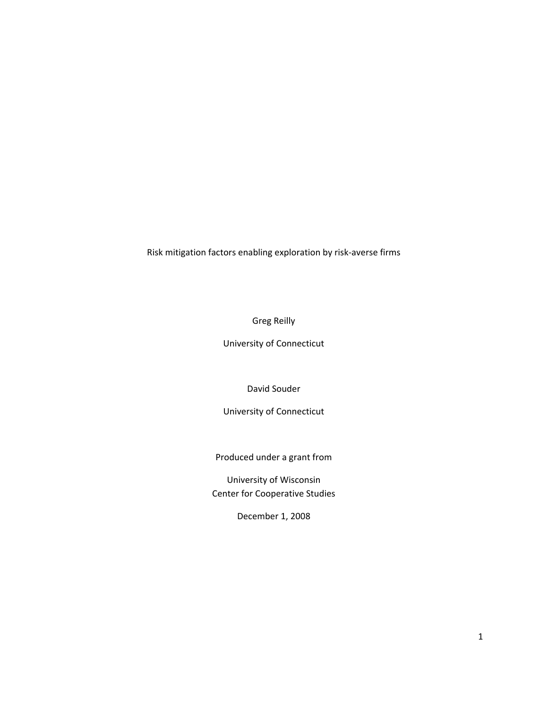Risk mitigation factors enabling exploration by risk‐averse firms

Greg Reilly

University of Connecticut

David Souder

University of Connecticut

Produced under a grant from

University of Wisconsin Center for Cooperative Studies

December 1, 2008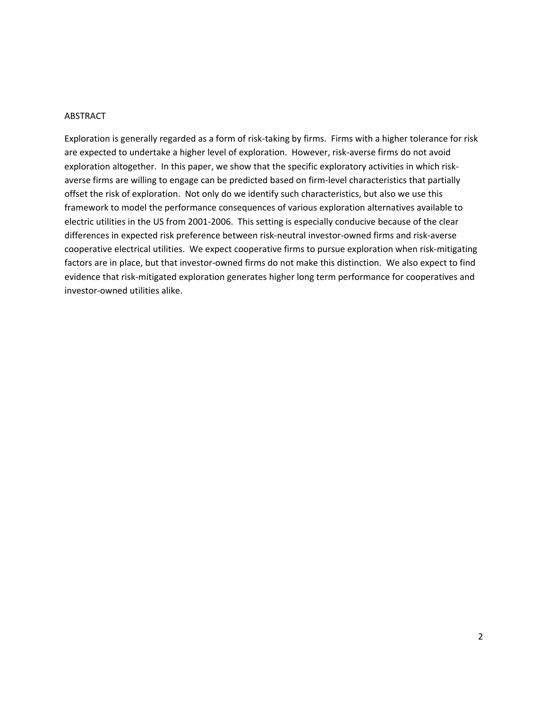## **ABSTRACT**

Exploration is generally regarded as a form of risk‐taking by firms. Firms with a higher tolerance for risk are expected to undertake a higher level of exploration. However, risk-averse firms do not avoid exploration altogether. In this paper, we show that the specific exploratory activities in which riskaverse firms are willing to engage can be predicted based on firm‐level characteristics that partially offset the risk of exploration. Not only do we identify such characteristics, but also we use this framework to model the performance consequences of various exploration alternatives available to electric utilities in the US from 2001‐2006. This setting is especially conducive because of the clear differences in expected risk preference between risk‐neutral investor‐owned firms and risk‐averse cooperative electrical utilities. We expect cooperative firms to pursue exploration when risk‐mitigating factors are in place, but that investor-owned firms do not make this distinction. We also expect to find evidence that risk‐mitigated exploration generates higher long term performance for cooperatives and investor‐owned utilities alike.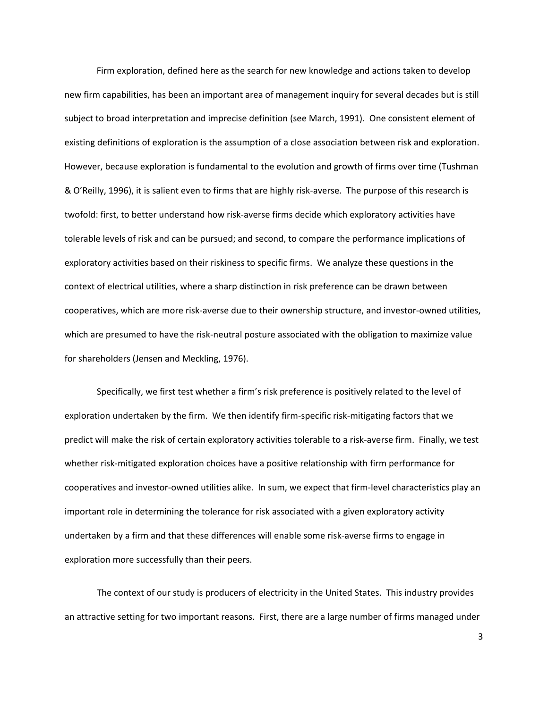Firm exploration, defined here as the search for new knowledge and actions taken to develop new firm capabilities, has been an important area of management inquiry for several decades but is still subject to broad interpretation and imprecise definition (see March, 1991). One consistent element of existing definitions of exploration is the assumption of a close association between risk and exploration. However, because exploration is fundamental to the evolution and growth of firms over time (Tushman & O'Reilly, 1996), it is salient even to firms that are highly risk‐averse. The purpose of this research is twofold: first, to better understand how risk‐averse firms decide which exploratory activities have tolerable levels of risk and can be pursued; and second, to compare the performance implications of exploratory activities based on their riskiness to specific firms. We analyze these questions in the context of electrical utilities, where a sharp distinction in risk preference can be drawn between cooperatives, which are more risk‐averse due to their ownership structure, and investor‐owned utilities, which are presumed to have the risk-neutral posture associated with the obligation to maximize value for shareholders (Jensen and Meckling, 1976).

Specifically, we first test whether a firm's risk preference is positively related to the level of exploration undertaken by the firm. We then identify firm-specific risk-mitigating factors that we predict will make the risk of certain exploratory activities tolerable to a risk‐averse firm. Finally, we test whether risk-mitigated exploration choices have a positive relationship with firm performance for cooperatives and investor‐owned utilities alike. In sum, we expect that firm‐level characteristics play an important role in determining the tolerance for risk associated with a given exploratory activity undertaken by a firm and that these differences will enable some risk‐averse firms to engage in exploration more successfully than their peers.

The context of our study is producers of electricity in the United States. This industry provides an attractive setting for two important reasons. First, there are a large number of firms managed under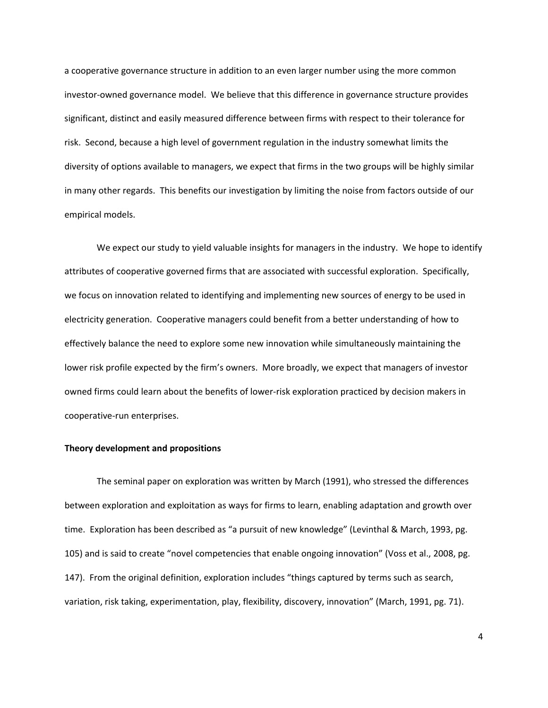a cooperative governance structure in addition to an even larger number using the more common investor‐owned governance model. We believe that this difference in governance structure provides significant, distinct and easily measured difference between firms with respect to their tolerance for risk. Second, because a high level of government regulation in the industry somewhat limits the diversity of options available to managers, we expect that firms in the two groups will be highly similar in many other regards. This benefits our investigation by limiting the noise from factors outside of our empirical models.

We expect our study to yield valuable insights for managers in the industry. We hope to identify attributes of cooperative governed firms that are associated with successful exploration. Specifically, we focus on innovation related to identifying and implementing new sources of energy to be used in electricity generation. Cooperative managers could benefit from a better understanding of how to effectively balance the need to explore some new innovation while simultaneously maintaining the lower risk profile expected by the firm's owners. More broadly, we expect that managers of investor owned firms could learn about the benefits of lower‐risk exploration practiced by decision makers in cooperative‐run enterprises.

### **Theory development and propositions**

The seminal paper on exploration was written by March (1991), who stressed the differences between exploration and exploitation as ways for firms to learn, enabling adaptation and growth over time. Exploration has been described as "a pursuit of new knowledge" (Levinthal & March, 1993, pg. 105) and is said to create "novel competencies that enable ongoing innovation" (Voss et al., 2008, pg. 147). From the original definition, exploration includes "things captured by terms such as search, variation, risk taking, experimentation, play, flexibility, discovery, innovation" (March, 1991, pg. 71).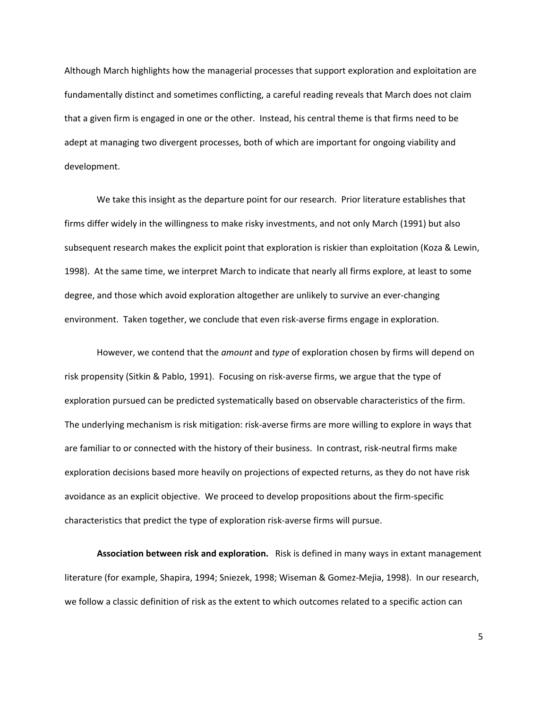Although March highlights how the managerial processes that support exploration and exploitation are fundamentally distinct and sometimes conflicting, a careful reading reveals that March does not claim that a given firm is engaged in one or the other. Instead, his central theme is that firms need to be adept at managing two divergent processes, both of which are important for ongoing viability and development.

We take this insight as the departure point for our research. Prior literature establishes that firms differ widely in the willingness to make risky investments, and not only March (1991) but also subsequent research makes the explicit point that exploration is riskier than exploitation (Koza & Lewin, 1998). At the same time, we interpret March to indicate that nearly all firms explore, at least to some degree, and those which avoid exploration altogether are unlikely to survive an ever‐changing environment. Taken together, we conclude that even risk-averse firms engage in exploration.

However, we contend that the *amount* and *type* of exploration chosen by firms will depend on risk propensity (Sitkin & Pablo, 1991). Focusing on risk‐averse firms, we argue that the type of exploration pursued can be predicted systematically based on observable characteristics of the firm. The underlying mechanism is risk mitigation: risk‐averse firms are more willing to explore in ways that are familiar to or connected with the history of their business. In contrast, risk-neutral firms make exploration decisions based more heavily on projections of expected returns, as they do not have risk avoidance as an explicit objective. We proceed to develop propositions about the firm‐specific characteristics that predict the type of exploration risk‐averse firms will pursue.

**Association between risk and exploration.** Risk is defined in many ways in extant management literature (for example, Shapira, 1994; Sniezek, 1998; Wiseman & Gomez‐Mejia, 1998). In our research, we follow a classic definition of risk as the extent to which outcomes related to a specific action can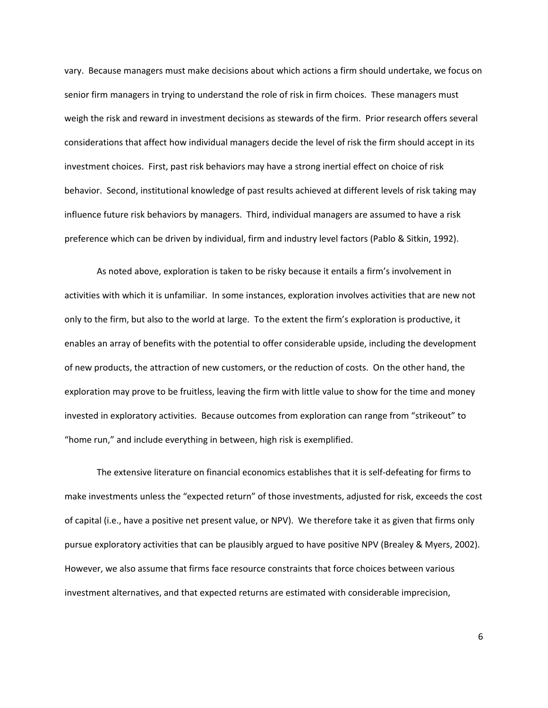vary. Because managers must make decisions about which actions a firm should undertake, we focus on senior firm managers in trying to understand the role of risk in firm choices. These managers must weigh the risk and reward in investment decisions as stewards of the firm. Prior research offers several considerations that affect how individual managers decide the level of risk the firm should accept in its investment choices. First, past risk behaviors may have a strong inertial effect on choice of risk behavior. Second, institutional knowledge of past results achieved at different levels of risk taking may influence future risk behaviors by managers. Third, individual managers are assumed to have a risk preference which can be driven by individual, firm and industry level factors (Pablo & Sitkin, 1992).

As noted above, exploration is taken to be risky because it entails a firm's involvement in activities with which it is unfamiliar. In some instances, exploration involves activities that are new not only to the firm, but also to the world at large. To the extent the firm's exploration is productive, it enables an array of benefits with the potential to offer considerable upside, including the development of new products, the attraction of new customers, or the reduction of costs. On the other hand, the exploration may prove to be fruitless, leaving the firm with little value to show for the time and money invested in exploratory activities. Because outcomes from exploration can range from "strikeout" to "home run," and include everything in between, high risk is exemplified.

The extensive literature on financial economics establishes that it is self-defeating for firms to make investments unless the "expected return" of those investments, adjusted for risk, exceeds the cost of capital (i.e., have a positive net present value, or NPV). We therefore take it as given that firms only pursue exploratory activities that can be plausibly argued to have positive NPV (Brealey & Myers, 2002). However, we also assume that firms face resource constraints that force choices between various investment alternatives, and that expected returns are estimated with considerable imprecision,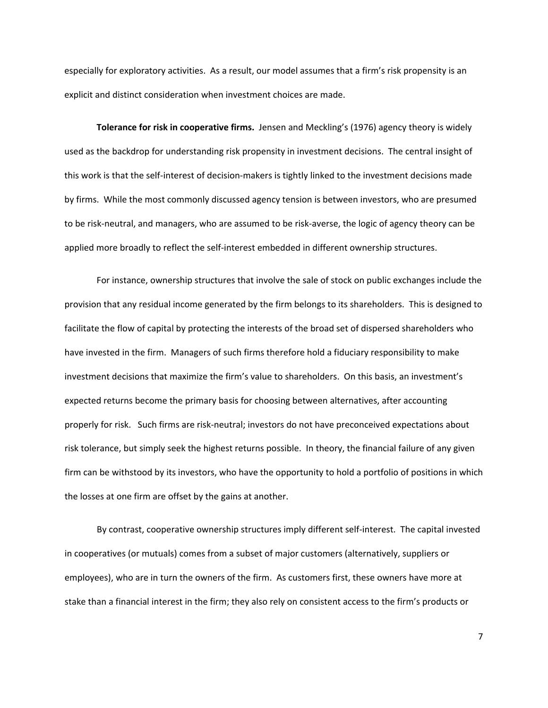especially for exploratory activities. As a result, our model assumes that a firm's risk propensity is an explicit and distinct consideration when investment choices are made.

**Tolerance for risk in cooperative firms.** Jensen and Meckling's (1976) agency theory is widely used as the backdrop for understanding risk propensity in investment decisions. The central insight of this work is that the self‐interest of decision‐makers is tightly linked to the investment decisions made by firms. While the most commonly discussed agency tension is between investors, who are presumed to be risk‐neutral, and managers, who are assumed to be risk‐averse, the logic of agency theory can be applied more broadly to reflect the self-interest embedded in different ownership structures.

For instance, ownership structures that involve the sale of stock on public exchanges include the provision that any residual income generated by the firm belongs to its shareholders. This is designed to facilitate the flow of capital by protecting the interests of the broad set of dispersed shareholders who have invested in the firm. Managers of such firms therefore hold a fiduciary responsibility to make investment decisions that maximize the firm's value to shareholders. On this basis, an investment's expected returns become the primary basis for choosing between alternatives, after accounting properly for risk. Such firms are risk‐neutral; investors do not have preconceived expectations about risk tolerance, but simply seek the highest returns possible. In theory, the financial failure of any given firm can be withstood by its investors, who have the opportunity to hold a portfolio of positions in which the losses at one firm are offset by the gains at another.

By contrast, cooperative ownership structures imply different self‐interest. The capital invested in cooperatives (or mutuals) comes from a subset of major customers (alternatively, suppliers or employees), who are in turn the owners of the firm. As customers first, these owners have more at stake than a financial interest in the firm; they also rely on consistent access to the firm's products or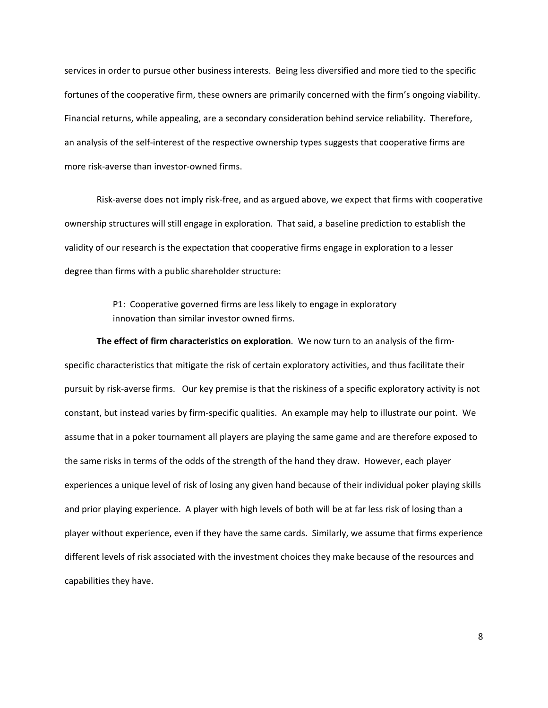services in order to pursue other business interests. Being less diversified and more tied to the specific fortunes of the cooperative firm, these owners are primarily concerned with the firm's ongoing viability. Financial returns, while appealing, are a secondary consideration behind service reliability. Therefore, an analysis of the self-interest of the respective ownership types suggests that cooperative firms are more risk‐averse than investor‐owned firms.

Risk‐averse does not imply risk‐free, and as argued above, we expect that firms with cooperative ownership structures will still engage in exploration. That said, a baseline prediction to establish the validity of our research is the expectation that cooperative firms engage in exploration to a lesser degree than firms with a public shareholder structure:

> P1: Cooperative governed firms are less likely to engage in exploratory innovation than similar investor owned firms.

**The effect of firm characteristics on exploration**. We now turn to an analysis of the firm‐ specific characteristics that mitigate the risk of certain exploratory activities, and thus facilitate their pursuit by risk‐averse firms. Our key premise is that the riskiness of a specific exploratory activity is not constant, but instead varies by firm‐specific qualities. An example may help to illustrate our point. We assume that in a poker tournament all players are playing the same game and are therefore exposed to the same risks in terms of the odds of the strength of the hand they draw. However, each player experiences a unique level of risk of losing any given hand because of their individual poker playing skills and prior playing experience. A player with high levels of both will be at far less risk of losing than a player without experience, even if they have the same cards. Similarly, we assume that firms experience different levels of risk associated with the investment choices they make because of the resources and capabilities they have.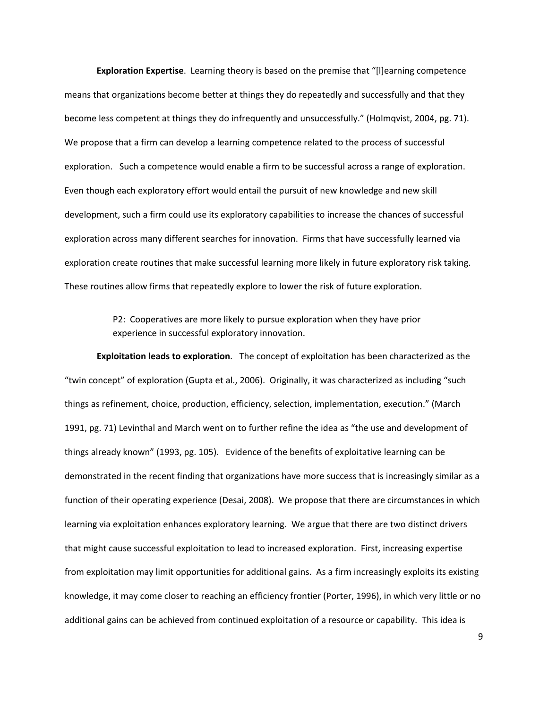**Exploration Expertise**. Learning theory is based on the premise that "[l]earning competence means that organizations become better at things they do repeatedly and successfully and that they become less competent at things they do infrequently and unsuccessfully." (Holmqvist, 2004, pg. 71). We propose that a firm can develop a learning competence related to the process of successful exploration. Such a competence would enable a firm to be successful across a range of exploration. Even though each exploratory effort would entail the pursuit of new knowledge and new skill development, such a firm could use its exploratory capabilities to increase the chances of successful exploration across many different searches for innovation. Firms that have successfully learned via exploration create routines that make successful learning more likely in future exploratory risk taking. These routines allow firms that repeatedly explore to lower the risk of future exploration.

> P2: Cooperatives are more likely to pursue exploration when they have prior experience in successful exploratory innovation.

**Exploitation leads to exploration**. The concept of exploitation has been characterized as the "twin concept" of exploration (Gupta et al., 2006). Originally, it was characterized as including "such things as refinement, choice, production, efficiency, selection, implementation, execution." (March 1991, pg. 71) Levinthal and March went on to further refine the idea as "the use and development of things already known" (1993, pg. 105). Evidence of the benefits of exploitative learning can be demonstrated in the recent finding that organizations have more success that is increasingly similar as a function of their operating experience (Desai, 2008). We propose that there are circumstances in which learning via exploitation enhances exploratory learning. We argue that there are two distinct drivers that might cause successful exploitation to lead to increased exploration. First, increasing expertise from exploitation may limit opportunities for additional gains. As a firm increasingly exploits its existing knowledge, it may come closer to reaching an efficiency frontier (Porter, 1996), in which very little or no additional gains can be achieved from continued exploitation of a resource or capability. This idea is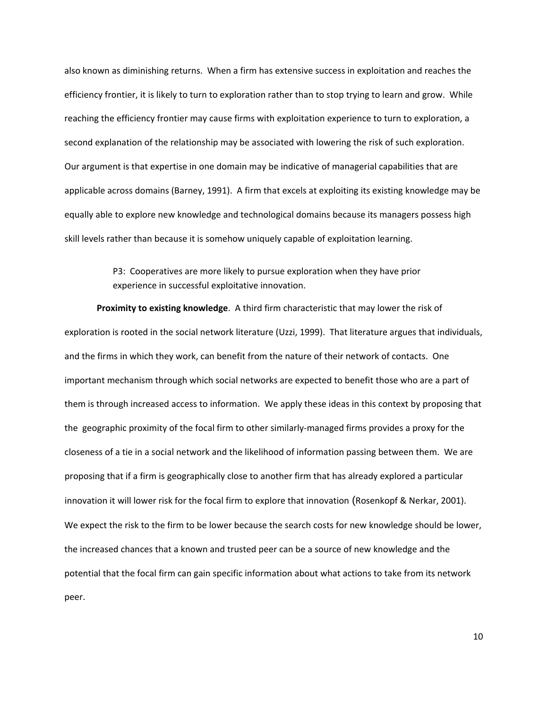also known as diminishing returns. When a firm has extensive success in exploitation and reaches the efficiency frontier, it is likely to turn to exploration rather than to stop trying to learn and grow. While reaching the efficiency frontier may cause firms with exploitation experience to turn to exploration, a second explanation of the relationship may be associated with lowering the risk of such exploration. Our argument is that expertise in one domain may be indicative of managerial capabilities that are applicable across domains (Barney, 1991). A firm that excels at exploiting its existing knowledge may be equally able to explore new knowledge and technological domains because its managers possess high skill levels rather than because it is somehow uniquely capable of exploitation learning.

> P3: Cooperatives are more likely to pursue exploration when they have prior experience in successful exploitative innovation.

**Proximity to existing knowledge**. A third firm characteristic that may lower the risk of exploration is rooted in the social network literature (Uzzi, 1999). That literature argues that individuals, and the firms in which they work, can benefit from the nature of their network of contacts. One important mechanism through which social networks are expected to benefit those who are a part of them is through increased access to information. We apply these ideas in this context by proposing that the geographic proximity of the focal firm to other similarly‐managed firms provides a proxy for the closeness of a tie in a social network and the likelihood of information passing between them. We are proposing that if a firm is geographically close to another firm that has already explored a particular innovation it will lower risk for the focal firm to explore that innovation (Rosenkopf & Nerkar, 2001). We expect the risk to the firm to be lower because the search costs for new knowledge should be lower, the increased chances that a known and trusted peer can be a source of new knowledge and the potential that the focal firm can gain specific information about what actions to take from its network peer.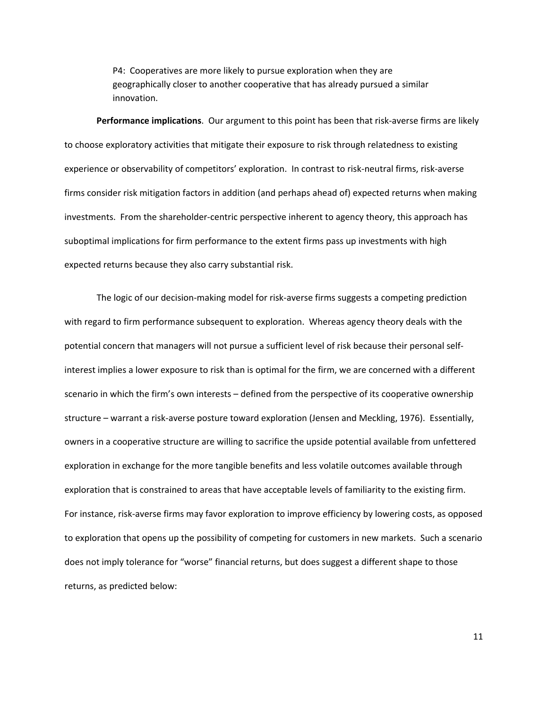P4: Cooperatives are more likely to pursue exploration when they are geographically closer to another cooperative that has already pursued a similar innovation.

**Performance implications**. Our argument to this point has been that risk‐averse firms are likely to choose exploratory activities that mitigate their exposure to risk through relatedness to existing experience or observability of competitors' exploration. In contrast to risk‐neutral firms, risk‐averse firms consider risk mitigation factors in addition (and perhaps ahead of) expected returns when making investments. From the shareholder‐centric perspective inherent to agency theory, this approach has suboptimal implications for firm performance to the extent firms pass up investments with high expected returns because they also carry substantial risk.

The logic of our decision‐making model for risk‐averse firms suggests a competing prediction with regard to firm performance subsequent to exploration. Whereas agency theory deals with the potential concern that managers will not pursue a sufficient level of risk because their personal self‐ interest implies a lower exposure to risk than is optimal for the firm, we are concerned with a different scenario in which the firm's own interests – defined from the perspective of its cooperative ownership structure – warrant a risk‐averse posture toward exploration (Jensen and Meckling, 1976). Essentially, owners in a cooperative structure are willing to sacrifice the upside potential available from unfettered exploration in exchange for the more tangible benefits and less volatile outcomes available through exploration that is constrained to areas that have acceptable levels of familiarity to the existing firm. For instance, risk‐averse firms may favor exploration to improve efficiency by lowering costs, as opposed to exploration that opens up the possibility of competing for customers in new markets. Such a scenario does not imply tolerance for "worse" financial returns, but does suggest a different shape to those returns, as predicted below: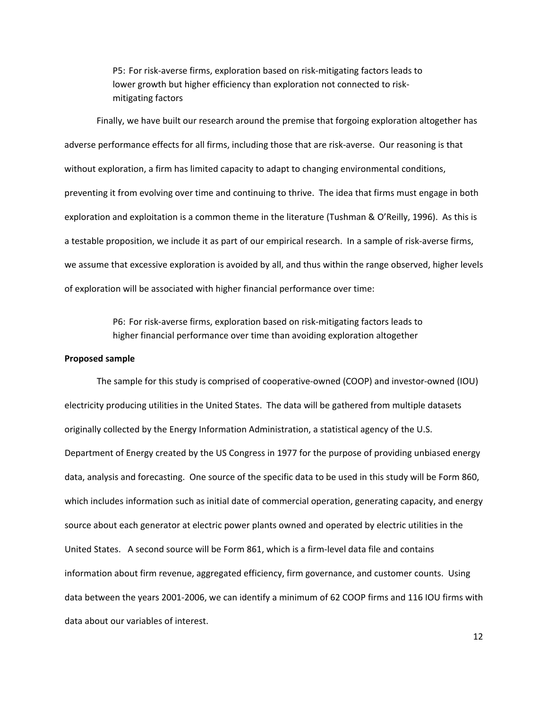P5: For risk‐averse firms, exploration based on risk‐mitigating factors leads to lower growth but higher efficiency than exploration not connected to risk‐ mitigating factors

Finally, we have built our research around the premise that forgoing exploration altogether has adverse performance effects for all firms, including those that are risk-averse. Our reasoning is that without exploration, a firm has limited capacity to adapt to changing environmental conditions, preventing it from evolving over time and continuing to thrive. The idea that firms must engage in both exploration and exploitation is a common theme in the literature (Tushman & O'Reilly, 1996). As this is a testable proposition, we include it as part of our empirical research. In a sample of risk‐averse firms, we assume that excessive exploration is avoided by all, and thus within the range observed, higher levels of exploration will be associated with higher financial performance over time:

> P6: For risk‐averse firms, exploration based on risk‐mitigating factors leads to higher financial performance over time than avoiding exploration altogether

#### **Proposed sample**

The sample for this study is comprised of cooperative‐owned (COOP) and investor‐owned (IOU) electricity producing utilities in the United States. The data will be gathered from multiple datasets originally collected by the Energy Information Administration, a statistical agency of the U.S. Department of Energy created by the US Congress in 1977 for the purpose of providing unbiased energy data, analysis and forecasting. One source of the specific data to be used in this study will be Form 860, which includes information such as initial date of commercial operation, generating capacity, and energy source about each generator at electric power plants owned and operated by electric utilities in the United States. A second source will be Form 861, which is a firm‐level data file and contains information about firm revenue, aggregated efficiency, firm governance, and customer counts. Using data between the years 2001‐2006, we can identify a minimum of 62 COOP firms and 116 IOU firms with data about our variables of interest.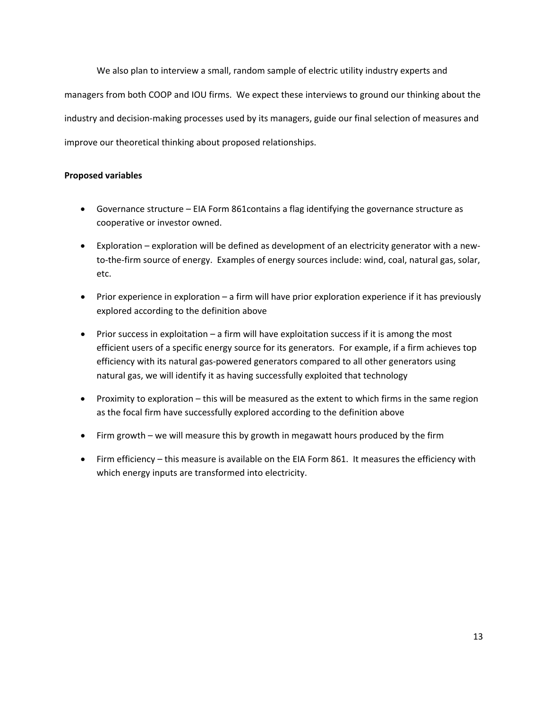We also plan to interview a small, random sample of electric utility industry experts and managers from both COOP and IOU firms. We expect these interviews to ground our thinking about the industry and decision‐making processes used by its managers, guide our final selection of measures and improve our theoretical thinking about proposed relationships.

# **Proposed variables**

- Governance structure EIA Form 861contains a flag identifying the governance structure as cooperative or investor owned.
- Exploration exploration will be defined as development of an electricity generator with a new‐ to-the-firm source of energy. Examples of energy sources include: wind, coal, natural gas, solar, etc.
- Prior experience in exploration a firm will have prior exploration experience if it has previously explored according to the definition above
- Prior success in exploitation a firm will have exploitation success if it is among the most efficient users of a specific energy source for its generators. For example, if a firm achieves top efficiency with its natural gas‐powered generators compared to all other generators using natural gas, we will identify it as having successfully exploited that technology
- Proximity to exploration this will be measured as the extent to which firms in the same region as the focal firm have successfully explored according to the definition above
- Firm growth we will measure this by growth in megawatt hours produced by the firm
- Firm efficiency this measure is available on the EIA Form 861. It measures the efficiency with which energy inputs are transformed into electricity.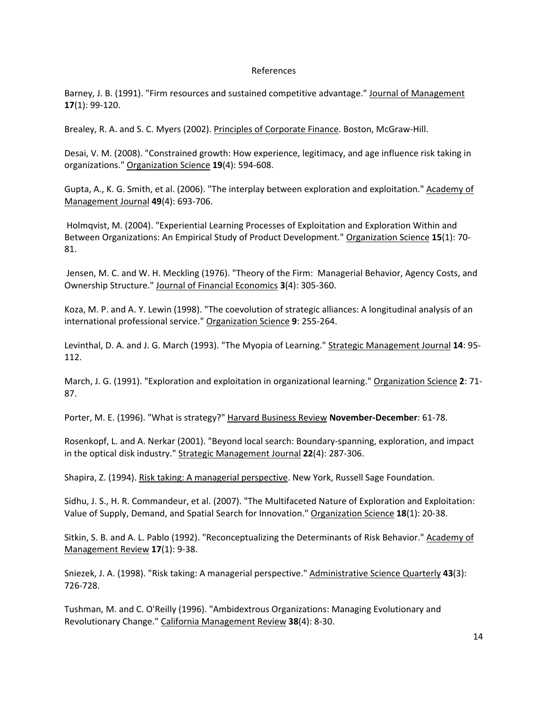## References

Barney, J. B. (1991). "Firm resources and sustained competitive advantage." Journal of Management **17**(1): 99‐120.

Brealey, R. A. and S. C. Myers (2002). Principles of Corporate Finance. Boston, McGraw‐Hill.

Desai, V. M. (2008). "Constrained growth: How experience, legitimacy, and age influence risk taking in organizations." Organization Science **19**(4): 594‐608.

Gupta, A., K. G. Smith, et al. (2006). "The interplay between exploration and exploitation." Academy of Management Journal **49**(4): 693‐706.

Holmqvist, M. (2004). "Experiential Learning Processes of Exploitation and Exploration Within and Between Organizations: An Empirical Study of Product Development." Organization Science **15**(1): 70‐ 81.

Jensen, M. C. and W. H. Meckling (1976). "Theory of the Firm: Managerial Behavior, Agency Costs, and Ownership Structure." Journal of Financial Economics **3**(4): 305‐360.

Koza, M. P. and A. Y. Lewin (1998). "The coevolution of strategic alliances: A longitudinal analysis of an international professional service." Organization Science **9**: 255‐264.

Levinthal, D. A. and J. G. March (1993). "The Myopia of Learning." Strategic Management Journal **14**: 95‐ 112.

March, J. G. (1991). "Exploration and exploitation in organizational learning." Organization Science **2**: 71‐ 87.

Porter, M. E. (1996). "What is strategy?" Harvard Business Review **November‐December**: 61‐78.

Rosenkopf, L. and A. Nerkar (2001). "Beyond local search: Boundary‐spanning, exploration, and impact in the optical disk industry." Strategic Management Journal **22**(4): 287‐306.

Shapira, Z. (1994). Risk taking: A managerial perspective. New York, Russell Sage Foundation.

Sidhu, J. S., H. R. Commandeur, et al. (2007). "The Multifaceted Nature of Exploration and Exploitation: Value of Supply, Demand, and Spatial Search for Innovation." Organization Science **18**(1): 20‐38.

Sitkin, S. B. and A. L. Pablo (1992). "Reconceptualizing the Determinants of Risk Behavior." Academy of Management Review **17**(1): 9‐38.

Sniezek, J. A. (1998). "Risk taking: A managerial perspective." Administrative Science Quarterly **43**(3): 726‐728.

Tushman, M. and C. O'Reilly (1996). "Ambidextrous Organizations: Managing Evolutionary and Revolutionary Change." California Management Review **38**(4): 8‐30.